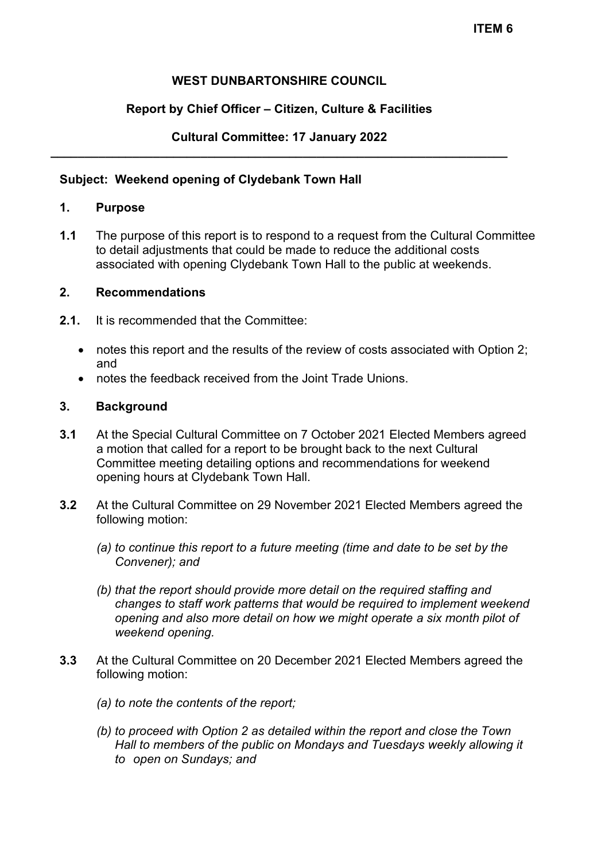## **WEST DUNBARTONSHIRE COUNCIL**

## **Report by Chief Officer – Citizen, Culture & Facilities**

### **Cultural Committee: 17 January 2022 \_\_\_\_\_\_\_\_\_\_\_\_\_\_\_\_\_\_\_\_\_\_\_\_\_\_\_\_\_\_\_\_\_\_\_\_\_\_\_\_\_\_\_\_\_\_\_\_\_\_\_\_\_\_\_\_\_\_\_\_\_\_\_\_\_\_\_**

### **Subject: Weekend opening of Clydebank Town Hall**

## **1. Purpose**

**1.1** The purpose of this report is to respond to a request from the Cultural Committee to detail adjustments that could be made to reduce the additional costs associated with opening Clydebank Town Hall to the public at weekends.

## **2. Recommendations**

- **2.1.** It is recommended that the Committee:
	- notes this report and the results of the review of costs associated with Option 2; and
	- notes the feedback received from the Joint Trade Unions.

#### **3. Background**

- **3.1** At the Special Cultural Committee on 7 October 2021 Elected Members agreed a motion that called for a report to be brought back to the next Cultural Committee meeting detailing options and recommendations for weekend opening hours at Clydebank Town Hall.
- **3.2** At the Cultural Committee on 29 November 2021 Elected Members agreed the following motion:
	- *(a) to continue this report to a future meeting (time and date to be set by the Convener); and*
	- *(b) that the report should provide more detail on the required staffing and changes to staff work patterns that would be required to implement weekend opening and also more detail on how we might operate a six month pilot of weekend opening.*
- **3.3** At the Cultural Committee on 20 December 2021 Elected Members agreed the following motion:
	- *(a) to note the contents of the report;*
	- *(b) to proceed with Option 2 as detailed within the report and close the Town Hall to members of the public on Mondays and Tuesdays weekly allowing it to open on Sundays; and*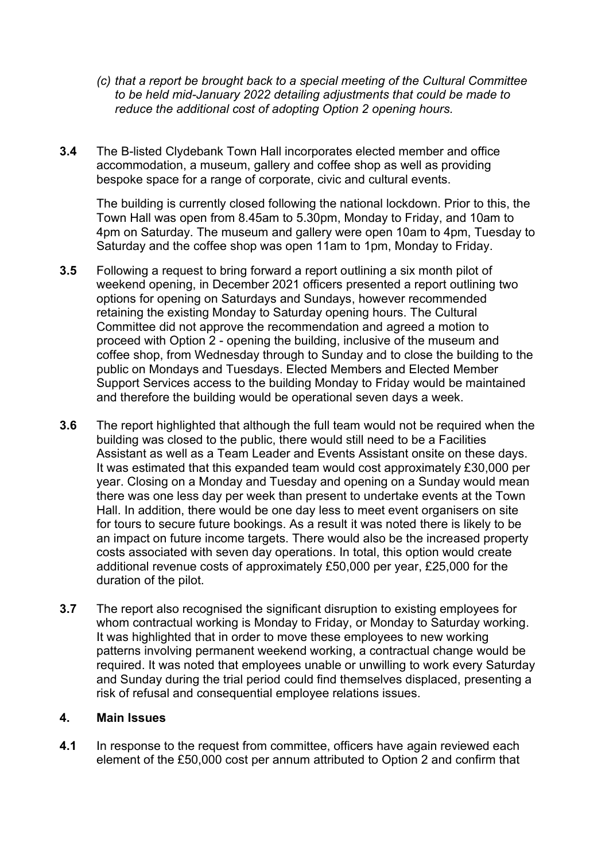- *(c) that a report be brought back to a special meeting of the Cultural Committee to be held mid-January 2022 detailing adjustments that could be made to reduce the additional cost of adopting Option 2 opening hours.*
- **3.4** The B-listed Clydebank Town Hall incorporates elected member and office accommodation, a museum, gallery and coffee shop as well as providing bespoke space for a range of corporate, civic and cultural events.

The building is currently closed following the national lockdown. Prior to this, the Town Hall was open from 8.45am to 5.30pm, Monday to Friday, and 10am to 4pm on Saturday. The museum and gallery were open 10am to 4pm, Tuesday to Saturday and the coffee shop was open 11am to 1pm, Monday to Friday.

- **3.5** Following a request to bring forward a report outlining a six month pilot of weekend opening, in December 2021 officers presented a report outlining two options for opening on Saturdays and Sundays, however recommended retaining the existing Monday to Saturday opening hours. The Cultural Committee did not approve the recommendation and agreed a motion to proceed with Option 2 - opening the building, inclusive of the museum and coffee shop, from Wednesday through to Sunday and to close the building to the public on Mondays and Tuesdays. Elected Members and Elected Member Support Services access to the building Monday to Friday would be maintained and therefore the building would be operational seven days a week.
- **3.6** The report highlighted that although the full team would not be required when the building was closed to the public, there would still need to be a Facilities Assistant as well as a Team Leader and Events Assistant onsite on these days. It was estimated that this expanded team would cost approximately £30,000 per year. Closing on a Monday and Tuesday and opening on a Sunday would mean there was one less day per week than present to undertake events at the Town Hall. In addition, there would be one day less to meet event organisers on site for tours to secure future bookings. As a result it was noted there is likely to be an impact on future income targets. There would also be the increased property costs associated with seven day operations. In total, this option would create additional revenue costs of approximately £50,000 per year, £25,000 for the duration of the pilot.
- **3.7** The report also recognised the significant disruption to existing employees for whom contractual working is Monday to Friday, or Monday to Saturday working. It was highlighted that in order to move these employees to new working patterns involving permanent weekend working, a contractual change would be required. It was noted that employees unable or unwilling to work every Saturday and Sunday during the trial period could find themselves displaced, presenting a risk of refusal and consequential employee relations issues.

#### **4. Main Issues**

**4.1** In response to the request from committee, officers have again reviewed each element of the £50,000 cost per annum attributed to Option 2 and confirm that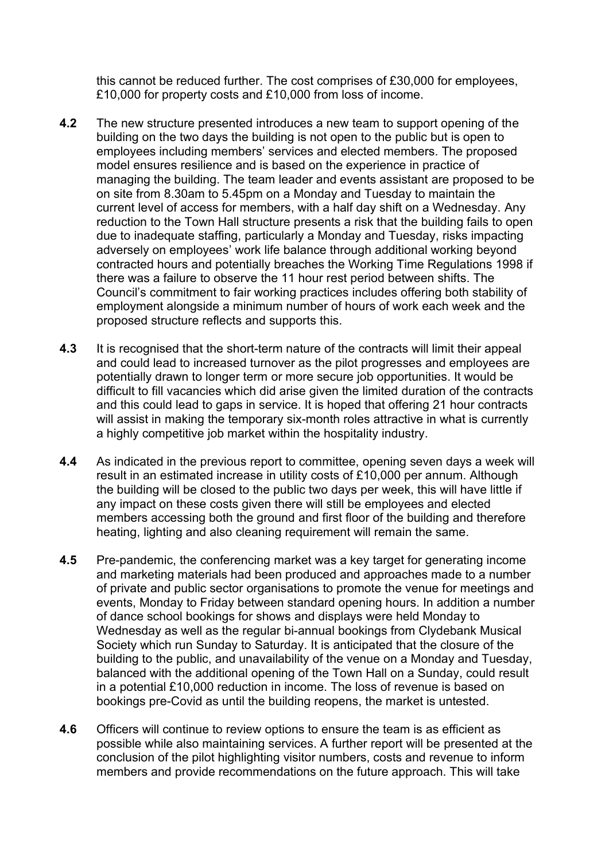this cannot be reduced further. The cost comprises of £30,000 for employees, £10,000 for property costs and £10,000 from loss of income.

- **4.2** The new structure presented introduces a new team to support opening of the building on the two days the building is not open to the public but is open to employees including members' services and elected members. The proposed model ensures resilience and is based on the experience in practice of managing the building. The team leader and events assistant are proposed to be on site from 8.30am to 5.45pm on a Monday and Tuesday to maintain the current level of access for members, with a half day shift on a Wednesday. Any reduction to the Town Hall structure presents a risk that the building fails to open due to inadequate staffing, particularly a Monday and Tuesday, risks impacting adversely on employees' work life balance through additional working beyond contracted hours and potentially breaches the Working Time Regulations 1998 if there was a failure to observe the 11 hour rest period between shifts. The Council's commitment to fair working practices includes offering both stability of employment alongside a minimum number of hours of work each week and the proposed structure reflects and supports this.
- **4.3** It is recognised that the short-term nature of the contracts will limit their appeal and could lead to increased turnover as the pilot progresses and employees are potentially drawn to longer term or more secure job opportunities. It would be difficult to fill vacancies which did arise given the limited duration of the contracts and this could lead to gaps in service. It is hoped that offering 21 hour contracts will assist in making the temporary six-month roles attractive in what is currently a highly competitive job market within the hospitality industry.
- **4.4** As indicated in the previous report to committee, opening seven days a week will result in an estimated increase in utility costs of £10,000 per annum. Although the building will be closed to the public two days per week, this will have little if any impact on these costs given there will still be employees and elected members accessing both the ground and first floor of the building and therefore heating, lighting and also cleaning requirement will remain the same.
- **4.5** Pre-pandemic, the conferencing market was a key target for generating income and marketing materials had been produced and approaches made to a number of private and public sector organisations to promote the venue for meetings and events, Monday to Friday between standard opening hours. In addition a number of dance school bookings for shows and displays were held Monday to Wednesday as well as the regular bi-annual bookings from Clydebank Musical Society which run Sunday to Saturday. It is anticipated that the closure of the building to the public, and unavailability of the venue on a Monday and Tuesday, balanced with the additional opening of the Town Hall on a Sunday, could result in a potential £10,000 reduction in income. The loss of revenue is based on bookings pre-Covid as until the building reopens, the market is untested.
- **4.6** Officers will continue to review options to ensure the team is as efficient as possible while also maintaining services. A further report will be presented at the conclusion of the pilot highlighting visitor numbers, costs and revenue to inform members and provide recommendations on the future approach. This will take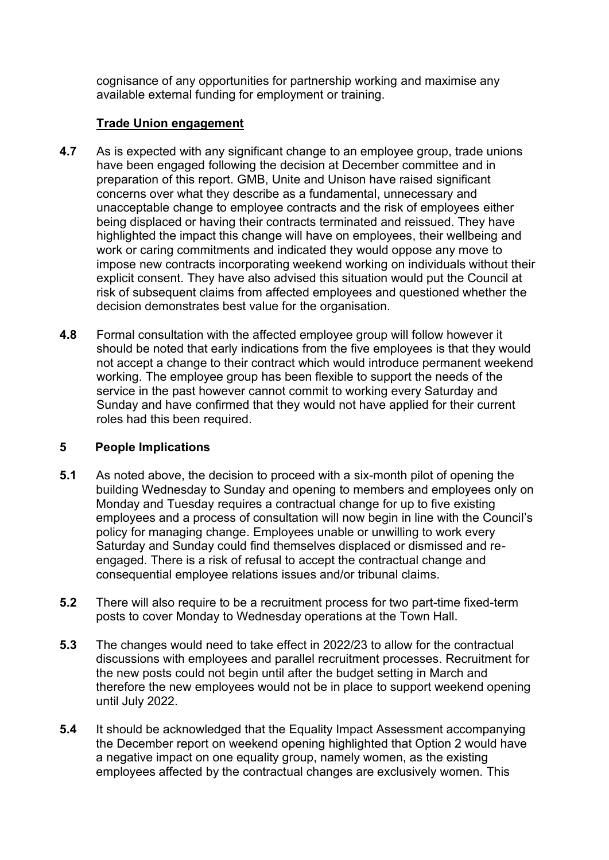cognisance of any opportunities for partnership working and maximise any available external funding for employment or training.

# **Trade Union engagement**

- **4.7** As is expected with any significant change to an employee group, trade unions have been engaged following the decision at December committee and in preparation of this report. GMB, Unite and Unison have raised significant concerns over what they describe as a fundamental, unnecessary and unacceptable change to employee contracts and the risk of employees either being displaced or having their contracts terminated and reissued. They have highlighted the impact this change will have on employees, their wellbeing and work or caring commitments and indicated they would oppose any move to impose new contracts incorporating weekend working on individuals without their explicit consent. They have also advised this situation would put the Council at risk of subsequent claims from affected employees and questioned whether the decision demonstrates best value for the organisation.
- **4.8** Formal consultation with the affected employee group will follow however it should be noted that early indications from the five employees is that they would not accept a change to their contract which would introduce permanent weekend working. The employee group has been flexible to support the needs of the service in the past however cannot commit to working every Saturday and Sunday and have confirmed that they would not have applied for their current roles had this been required.

# **5 People Implications**

- **5.1** As noted above, the decision to proceed with a six-month pilot of opening the building Wednesday to Sunday and opening to members and employees only on Monday and Tuesday requires a contractual change for up to five existing employees and a process of consultation will now begin in line with the Council's policy for managing change. Employees unable or unwilling to work every Saturday and Sunday could find themselves displaced or dismissed and reengaged. There is a risk of refusal to accept the contractual change and consequential employee relations issues and/or tribunal claims.
- **5.2** There will also require to be a recruitment process for two part-time fixed-term posts to cover Monday to Wednesday operations at the Town Hall.
- **5.3** The changes would need to take effect in 2022/23 to allow for the contractual discussions with employees and parallel recruitment processes. Recruitment for the new posts could not begin until after the budget setting in March and therefore the new employees would not be in place to support weekend opening until July 2022.
- **5.4** It should be acknowledged that the Equality Impact Assessment accompanying the December report on weekend opening highlighted that Option 2 would have a negative impact on one equality group, namely women, as the existing employees affected by the contractual changes are exclusively women. This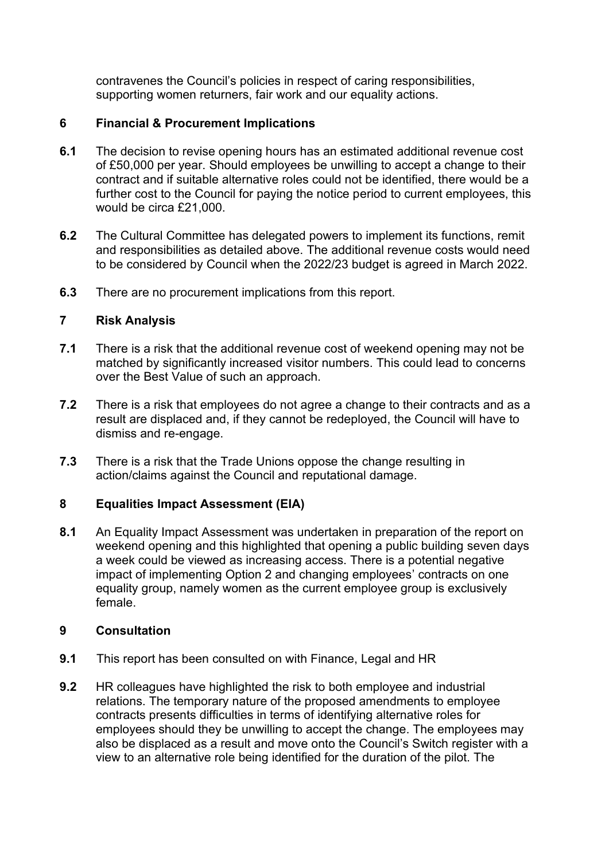contravenes the Council's policies in respect of caring responsibilities, supporting women returners, fair work and our equality actions.

# **6 Financial & Procurement Implications**

- **6.1** The decision to revise opening hours has an estimated additional revenue cost of £50,000 per year. Should employees be unwilling to accept a change to their contract and if suitable alternative roles could not be identified, there would be a further cost to the Council for paying the notice period to current employees, this would be circa £21,000.
- **6.2** The Cultural Committee has delegated powers to implement its functions, remit and responsibilities as detailed above. The additional revenue costs would need to be considered by Council when the 2022/23 budget is agreed in March 2022.
- **6.3** There are no procurement implications from this report.

# **7 Risk Analysis**

- **7.1** There is a risk that the additional revenue cost of weekend opening may not be matched by significantly increased visitor numbers. This could lead to concerns over the Best Value of such an approach.
- **7.2** There is a risk that employees do not agree a change to their contracts and as a result are displaced and, if they cannot be redeployed, the Council will have to dismiss and re-engage.
- **7.3** There is a risk that the Trade Unions oppose the change resulting in action/claims against the Council and reputational damage.

# **8 Equalities Impact Assessment (EIA)**

**8.1** An Equality Impact Assessment was undertaken in preparation of the report on weekend opening and this highlighted that opening a public building seven days a week could be viewed as increasing access. There is a potential negative impact of implementing Option 2 and changing employees' contracts on one equality group, namely women as the current employee group is exclusively female.

# **9 Consultation**

- **9.1** This report has been consulted on with Finance, Legal and HR
- **9.2** HR colleagues have highlighted the risk to both employee and industrial relations. The temporary nature of the proposed amendments to employee contracts presents difficulties in terms of identifying alternative roles for employees should they be unwilling to accept the change. The employees may also be displaced as a result and move onto the Council's Switch register with a view to an alternative role being identified for the duration of the pilot. The